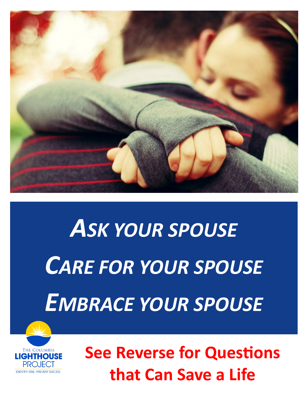

## *ASK YOUR SPOUSE CARE FOR YOUR SPOUSE EMBRACE YOUR SPOUSE*



**See Reverse for Questions that Can Save a Life**